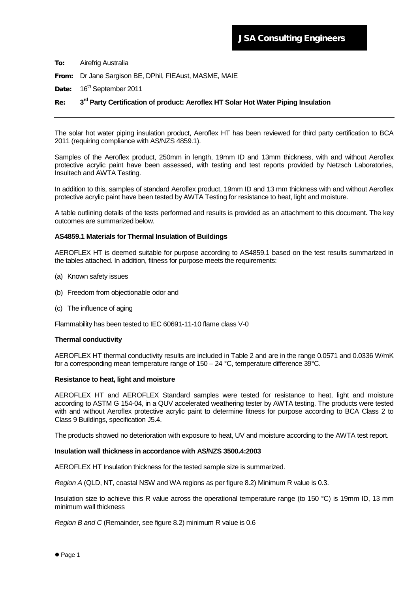From: Dr Jane Sargison BE, DPhil, FIEAust, MASME, MAIE

Date: 16<sup>th</sup> September 2011

# Re: **3rd Party Certification of product: Aeroflex HT Solar Hot Water Piping Insulation**

The solar hot water piping insulation product, Aeroflex HT has been reviewed for third party certification to BCA 2011 (requiring compliance with AS/NZS 4859.1).

Samples of the Aeroflex product, 250mm in length, 19mm ID and 13mm thickness, with and without Aeroflex protective acrylic paint have been assessed, with testing and test reports provided by Netzsch Laboratories, Insultech and AWTA Testing.

In addition to this, samples of standard Aeroflex product, 19mm ID and 13 mm thickness with and without Aeroflex protective acrylic paint have been tested by AWTA Testing for resistance to heat, light and moisture.

A table outlining details of the tests performed and results is provided as an attachment to this document. The key outcomes are summarized below.

## **AS4859.1 Materials for Thermal Insulation of Buildings**

AEROFLEX HT is deemed suitable for purpose according to AS4859.1 based on the test results summarized in the tables attached. In addition, fitness for purpose meets the requirements:

- (a) Known safety issues
- (b) Freedom from objectionable odor and
- (c) The influence of aging

Flammability has been tested to IEC 60691-11-10 flame class V-0

## **Thermal conductivity**

AEROFLEX HT thermal conductivity results are included in Table 2 and are in the range 0.0571 and 0.0336 W/mK for a corresponding mean temperature range of 150 – 24 °C, temperature difference 39°C.

### **Resistance to heat, light and moisture**

AEROFLEX HT and AEROFLEX Standard samples were tested for resistance to heat, light and moisture according to ASTM G 154-04, in a QUV accelerated weathering tester by AWTA testing. The products were tested with and without Aeroflex protective acrylic paint to determine fitness for purpose according to BCA Class 2 to Class 9 Buildings, specification J5.4.

The products showed no deterioration with exposure to heat, UV and moisture according to the AWTA test report.

### **Insulation wall thickness in accordance with AS/NZS 3500.4:2003**

AEROFLEX HT Insulation thickness for the tested sample size is summarized.

*Region A* (QLD, NT, coastal NSW and WA regions as per figure 8.2) Minimum R value is 0.3.

Insulation size to achieve this R value across the operational temperature range (to 150 °C) is 19mm ID, 13 mm minimum wall thickness

*Region B and C* (Remainder, see figure 8.2) minimum R value is 0.6